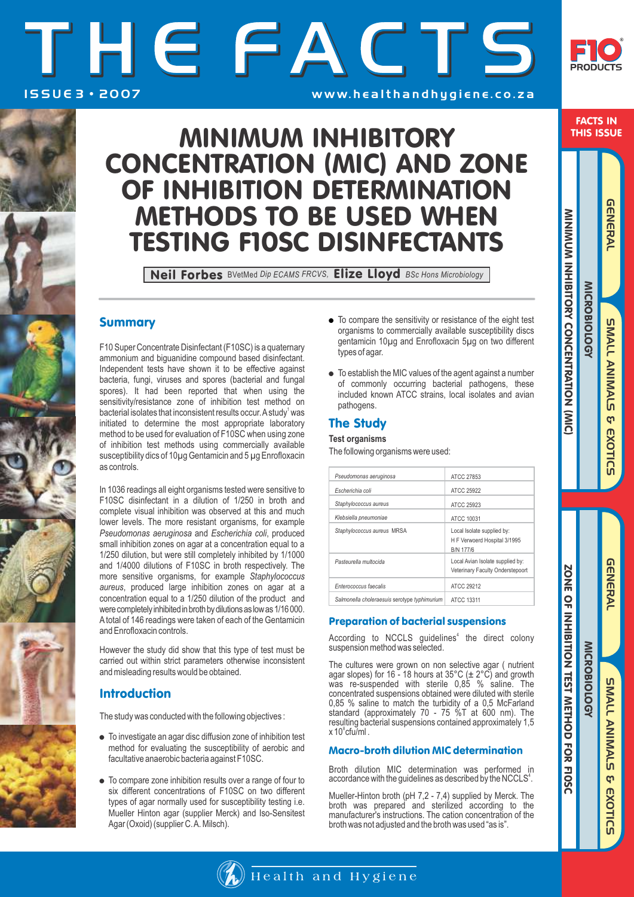# I S S U E 3 • 2 0 0 7 THE FACT w w w. h e a l t h a n d h y g i e n e . c o . z a S



## FACTS IN THIS ISSUE

# MINIMUM INHIBITORY CONCENTRATION (MIC) AND ZONE OF INHIBITION DETERMINATION METHODS TO BE USED WHEN TESTING F10SC DISINFECTANTS

Neil Forbes BVetMed *Dip ECAMS FRCVS,* Elize Lloyd *BSc Hons Microbiology*

# Summary

F10 Super Concentrate Disinfectant (F10SC) is a quaternary ammonium and biguanidine compound based disinfectant. Independent tests have shown it to be effective against bacteria, fungi, viruses and spores (bacterial and fungal spores). It had been reported that when using the sensitivity/resistance zone of inhibition test method on bacterial isolates that inconsistent results occur. A study<sup>1</sup> was initiated to determine the most appropriate laboratory method to be used for evaluation of F10SC when using zone of inhibition test methods using commercially available susceptibility dics of 10µg Gentamicin and 5 µg Enrofloxacin as controls.

In 1036 readings all eight organisms tested were sensitive to F10SC disinfectant in a dilution of 1/250 in broth and complete visual inhibition was observed at this and much lower levels. The more resistant organisms, for example *Pseudomonas aeruginosa* and *Escherichia coli*, produced small inhibition zones on agar at a concentration equal to a 1/250 dilution, but were still completely inhibited by 1/1000 and 1/4000 dilutions of F10SC in broth respectively. The more sensitive organisms, for example *Staphylococcus aureus*, produced large inhibition zones on agar at a concentration equal to a 1/250 dilution of the product and were completely inhibited in broth by dilutions as low as 1/16 000. Atotal of 146 readings were taken of each of the Gentamicin and Enrofloxacin controls.

However the study did show that this type of test must be carried out within strict parameters otherwise inconsistent and misleading results would be obtained.

# **Introduction**

The study was conducted with the following objectives :

- To investigate an agar disc diffusion zone of inhibition test method for evaluating the susceptibility of aerobic and facultative anaerobic bacteria against F10SC.
- To compare zone inhibition results over a range of four to six different concentrations of F10SC on two different types of agar normally used for susceptibility testing i.e. Mueller Hinton agar (supplier Merck) and Iso-Sensitest Agar (Oxoid) (supplier C. A. Milsch).
- To compare the sensitivity or resistance of the eight test organisms to commercially available susceptibility discs gentamicin 10µg and Enrofloxacin 5µg on two different types of agar.
- To establish the MIC values of the agent against a number of commonly occurring bacterial pathogens, these included known ATCC strains, local isolates and avian pathogens.

# The Study

### **Test organisms**

The following organisms were used:

| Pseudomonas aeruginosa                       | ATCC 27853                                                                     |
|----------------------------------------------|--------------------------------------------------------------------------------|
| Escherichia coli                             | ATCC 25922                                                                     |
| Staphylococcus aureus                        | ATCC 25923                                                                     |
| Klebsiella pneumoniae                        | ATCC 10031                                                                     |
| Staphylococcus aureus MRSA                   | Local Isolate supplied by:<br>H F Verwoerd Hospital 3/1995<br><b>B/N 177/6</b> |
| Pasteurella multocida                        | Local Avian Isolate supplied by:<br>Veterinary Faculty Onderstepoort           |
| Enterococcus faecalis                        | ATCC 29212                                                                     |
| Salmonella choleraesuis serotype typhimurium | ATCC 13311                                                                     |

## Preparation of bacterial suspensions

According to NCCLS guidelines<sup>4</sup> the direct colony suspension method was selected.

The cultures were grown on non selective agar ( nutrient agar slopes) for 16 - 18 hours at  $35^{\circ}$ C ( $\pm$  2°C) and growth was re-suspended with sterile 0,85 % saline. The concentrated suspensions obtained were diluted with sterile 0,85 % saline to match the turbidity of a 0,5 McFarland standard (approximately 70 - 75 %T at 600 nm). The resulting bacterial suspensions contained approximately 1,5  $x 10^8$ cfu $\text{Im}$ l

### Macro-broth dilution MIC determination

Broth dilution MIC determination was performed in accordance with the guidelines as described by the NCCLS<sup>4</sup>.

Mueller-Hinton broth (pH 7,2 - 7,4) supplied by Merck. The broth was prepared and sterilized according to the manufacturer's instructions. The cation concentration of the broth was not adjusted and the broth was used "as is".



# Health and Hygiene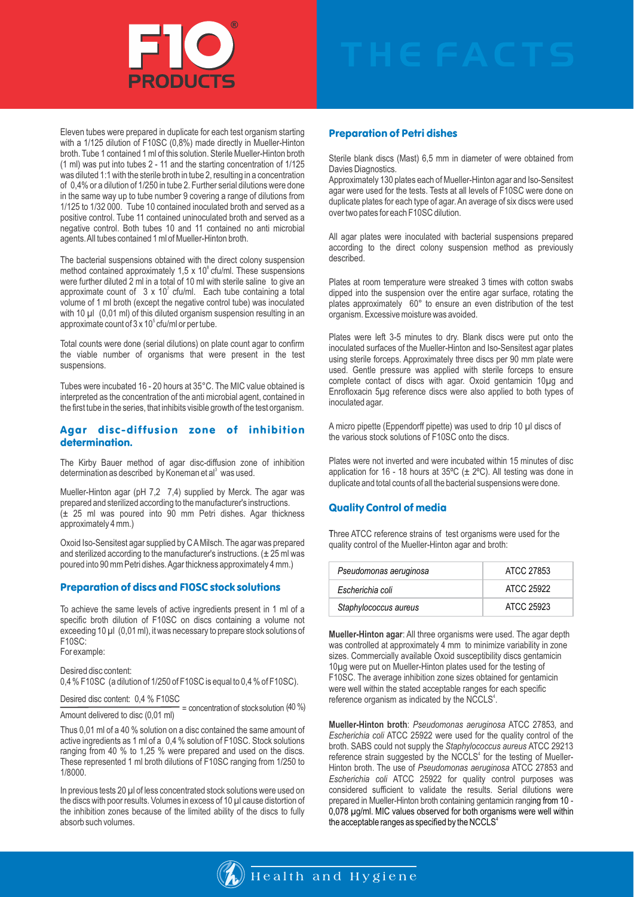

Eleven tubes were prepared in duplicate for each test organism starting with a 1/125 dilution of F10SC (0,8%) made directly in Mueller-Hinton broth. Tube 1 contained 1 ml of this solution. Sterile Mueller-Hinton broth (1 ml) was put into tubes 2 - 11 and the starting concentration of 1/125 was diluted 1:1 with the sterile broth in tube 2, resulting in a concentration of 0,4% or a dilution of 1/250 in tube 2. Further serial dilutions were done in the same way up to tube number 9 covering a range of dilutions from 1/125 to 1/32 000. Tube 10 contained inoculated broth and served as a positive control. Tube 11 contained uninoculated broth and served as a negative control. Both tubes 10 and 11 contained no anti microbial agents. All tubes contained 1 ml of Mueller-Hinton broth.

The bacterial suspensions obtained with the direct colony suspension method contained approximately 1,5 x 10 $\degree$  cfu/ml. These suspensions were further diluted 2 ml in a total of 10 ml with sterile saline to give an approximate count of  $3 \times 10^7$  cfu/ml. Each tube containing a total volume of 1 ml broth (except the negative control tube) was inoculated with 10  $\mu$ l (0,01 ml) of this diluted organism suspension resulting in an approximate count of  $3 \times 10^5$  cfu/ml or per tube.

Total counts were done (serial dilutions) on plate count agar to confirm the viable number of organisms that were present in the test suspensions.

Tubes were incubated 16 - 20 hours at 35°C. The MIC value obtained is interpreted as the concentration of the anti microbial agent, contained in the first tube in the series, that inhibits visible growth of the test organism.

#### Agar disc-diffusion zone of inhibition determination.

The Kirby Bauer method of agar disc-diffusion zone of inhibition determination as described by Koneman et al<sup>3</sup> was used.

Mueller-Hinton agar (pH 7,2 7,4) supplied by Merck. The agar was prepared and sterilized according to the manufacturer's instructions. (± 25 ml was poured into 90 mm Petri dishes. Agar thickness approximately 4 mm.)

Oxoid Iso-Sensitest agar supplied by C AMilsch. The agar was prepared and sterilized according to the manufacturer's instructions.  $(\pm 25 \text{ ml})$  was poured into 90 mm Petri dishes. Agar thickness approximately 4 mm.)

#### Preparation of discs and F10SC stock solutions

To achieve the same levels of active ingredients present in 1 ml of a specific broth dilution of F10SC on discs containing a volume not exceeding 10 µl (0,01 ml), it was necessary to prepare stock solutions of F10SC:

For example:

Desired disc content:

0,4 % F10SC (a dilution of 1/250 of F10SC is equal to 0,4 % of F10SC).

### Desired disc content: 0,4 % F10SC

Desired disc content:  $0,4\%$  F10SC<br>Amount delivered to disc (0,01 ml)<br>Amount delivered to disc (0,01 ml) Amount delivered to disc (0,01 ml)

Thus 0,01 ml of a 40 % solution on a disc contained the same amount of active ingredients as 1 ml of a 0,4 % solution of F10SC. Stock solutions ranging from 40 % to 1,25 % were prepared and used on the discs. These represented 1 ml broth dilutions of F10SC ranging from 1/250 to 1/8000.

In previous tests 20 µl of less concentrated stock solutions were used on the discs with poor results. Volumes in excess of 10 µl cause distortion of the inhibition zones because of the limited ability of the discs to fully absorb such volumes.

#### Preparation of Petri dishes

Sterile blank discs (Mast) 6,5 mm in diameter of were obtained from Davies Diagnostics.

Approximately 130 plates each of Mueller-Hinton agar and Iso-Sensitest agar were used for the tests. Tests at all levels of F10SC were done on duplicate plates for each type of agar. An average of six discs were used over two pates for each F10SC dilution.

All agar plates were inoculated with bacterial suspensions prepared according to the direct colony suspension method as previously described.

Plates at room temperature were streaked 3 times with cotton swabs dipped into the suspension over the entire agar surface, rotating the plates approximately 60° to ensure an even distribution of the test organism. Excessive moisture was avoided.

Plates were left 3-5 minutes to dry. Blank discs were put onto the inoculated surfaces of the Mueller-Hinton and Iso-Sensitest agar plates using sterile forceps. Approximately three discs per 90 mm plate were used. Gentle pressure was applied with sterile forceps to ensure complete contact of discs with agar. Oxoid gentamicin 10µg and Enrofloxacin 5µg reference discs were also applied to both types of inoculated agar.

A micro pipette (Eppendorff pipette) was used to drip 10 µl discs of the various stock solutions of F10SC onto the discs.

Plates were not inverted and were incubated within 15 minutes of disc application for 16 - 18 hours at 35°C ( $\pm$  2°C). All testing was done in duplicate and total counts of all the bacterial suspensions were done.

#### Quality Control of media

Three ATCC reference strains of test organisms were used for the quality control of the Mueller-Hinton agar and broth:

| Pseudomonas aeruginosa | ATCC 27853 |
|------------------------|------------|
| Escherichia coli       | ATCC 25922 |
| Staphylococcus aureus  | ATCC 25923 |

**Mueller-Hinton agar**: All three organisms were used. The agar depth was controlled at approximately 4 mm to minimize variability in zone sizes. Commercially available Oxoid susceptibility discs gentamicin 10µg were put on Mueller-Hinton plates used for the testing of F10SC. The average inhibition zone sizes obtained for gentamicin were well within the stated acceptable ranges for each specific reference organism as indicated by the NCCLS<sup>4</sup>.

**Mueller-Hinton broth**: *Pseudomonas aeruginosa* ATCC 27853*,* and *Escherichia coli* ATCC 25922 were used for the quality control of the broth. SABS could not supply the *Staphylococcus aureus* ATCC 29213 reference strain suggested by the NCCLS<sup>4</sup> for the testing of Mueller-Hinton broth. The use of *Pseudomonas aeruginosa* ATCC 27853 and *Escherichia coli* ATCC 25922 for quality control purposes was considered sufficient to validate the results. Serial dilutions were prepared in Mueller-Hinton broth containing gentamicin ranging from 10 - 0,078 µg/ml. MIC values observed for both organisms were well within the acceptable ranges as specified by the NCCLS<sup>4</sup>

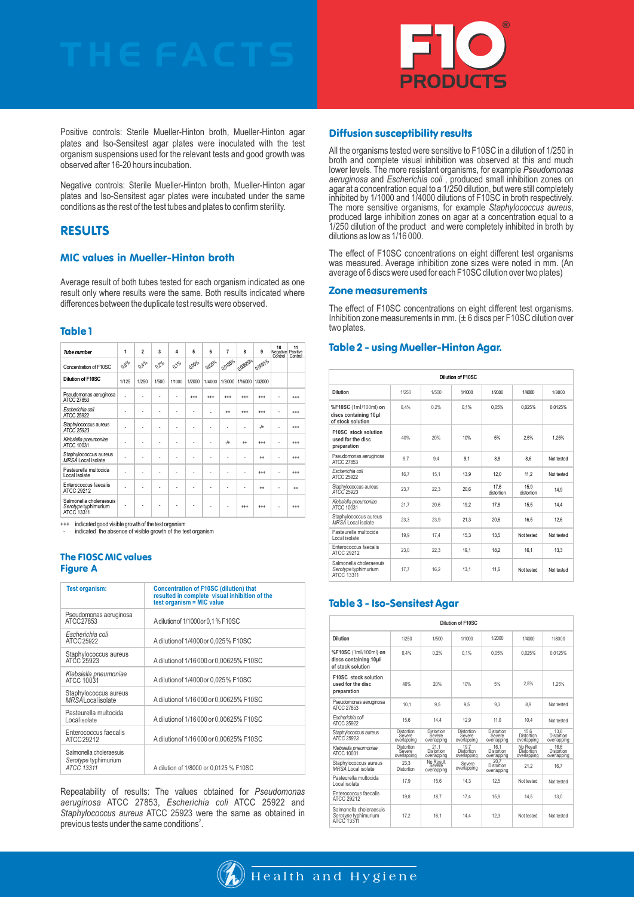

Positive controls: Sterile Mueller-Hinton broth, Mueller-Hinton agar plates and Iso-Sensitest agar plates were inoculated with the test organism suspensions used for the relevant tests and good growth was observed after 16-20 hours incubation.

Negative controls: Sterile Mueller-Hinton broth, Mueller-Hinton agar plates and Iso-Sensitest agar plates were incubated under the same conditions as the rest of the test tubes and plates to confirm sterility.

## RESULTS

#### MIC values in Mueller-Hinton broth

Average result of both tubes tested for each organism indicated as one result only where results were the same. Both results indicated where differences between the duplicate test results were observed.

#### Table 1

| <b>Tube number</b>                                            | 1                                     | $\overline{2}$                       | 3                                              | 4                               | 5       | 6      | 7       | 8       | 9         | 10<br>Negative Positive<br>Control Control | 11<br>Control |
|---------------------------------------------------------------|---------------------------------------|--------------------------------------|------------------------------------------------|---------------------------------|---------|--------|---------|---------|-----------|--------------------------------------------|---------------|
| Concentration of F10SC                                        | $\sigma_{\theta_{\text{o}} \text{o}}$ | $\sigma_{\tilde{\mathcal{V}}_{o/o}}$ | $\sigma_{\mathcal{J}_{\mathsf{p} \mathsf{o}}}$ | $\mathcal{O}_{\mathcal{V}_o o}$ | Orgolo  | Opple  | 000000  | 000000  | 0,00310/0 |                                            |               |
| Dilution of F10SC                                             | 1/125                                 | 1/250                                | 1/500                                          | 1/1000                          | 1/2000  | 1/4000 | 1/8000  | 1/16000 | 1/32000   |                                            |               |
| Pseudomonas aeruginosa<br>ATCC 27853                          |                                       |                                      | ٠                                              | Ē.                              | $^{++}$ | $++$   | $^{++}$ | $++$    | $++$      |                                            | $***$         |
| Escherichia coli<br><b>ATCC 25922</b>                         |                                       |                                      | ÷                                              |                                 |         |        | $++$    | $++$    | $++$      |                                            | $***$         |
| Staphylococcus aureus<br>ATCC 25923                           |                                       |                                      |                                                |                                 |         |        |         |         | $+$       |                                            | $***$         |
| Klebsiella pneumoniae<br>ATCC 10031                           |                                       | ٠                                    |                                                |                                 | ٠       |        | $-$ /+  | $^{+}$  | $++$      | ٠                                          | $***$         |
| Staphylococcus aureus<br>MRSA Local isolate                   |                                       |                                      |                                                |                                 |         |        |         |         | $+$       |                                            | $***$         |
| Pasteurella multocida<br>Local isolate                        |                                       |                                      |                                                |                                 |         |        |         |         | $^{++}$   |                                            | $***$         |
| Enterococcus faecalis<br>ATCC 29212                           |                                       |                                      |                                                |                                 |         |        |         |         | $+$       |                                            | $^{++}$       |
| Salmonella choleraesuis<br>Serotype typhimurium<br>ATCC 13311 |                                       |                                      |                                                |                                 |         |        |         | $^{++}$ | $++$      |                                            | $***$         |

indicated good visible growth of the test organism indicated the absence of visible growth of the test organism

#### The F10SC MIC values **Figure A**

| <b>Test organism:</b>                                         | <b>Concentration of F10SC (dilution) that</b><br>resulted in complete visual inhibition of the<br>test organism $=$ MIC value |
|---------------------------------------------------------------|-------------------------------------------------------------------------------------------------------------------------------|
| Pseudomonas aeruginosa<br>ATCC27853                           | A dilution of 1/1000 or 0,1 % F10SC                                                                                           |
| Escherichia coli<br>ATCC 25922                                | A dilution of 1/4000 or 0,025% F10SC                                                                                          |
| Staphylococcus aureus<br>ATCC 25923                           | A dilution of 1/16 000 or 0,00625% F10SC                                                                                      |
| Klebsiella pneumoniae<br>ATCC 10031                           | A dilution of 1/4000 or 0.025% F10SC                                                                                          |
| Staphylococcus aureus<br><b>MRSALocalisolate</b>              | A dilution of 1/16 000 or 0.00625% F10SC                                                                                      |
| Pasteurella multocida<br>Localisolate                         | A dilution of 1/16 000 or 0,00625% F10SC                                                                                      |
| Enterococcus faecalis<br>ATCC 29212                           | A dilution of 1/16 000 or 0,00625% F10SC                                                                                      |
| Salmonella choleraesuis<br>Serotype typhimurium<br>ATCC 13311 | A dilution of 1/8000 or 0.0125 % F10SC                                                                                        |

Repeatability of results: The values obtained for *Pseudomonas aeruginosa* ATCC 27853, *Escherichia coli* ATCC 25922 and *Staphylococcus aureus* ATCC 25923 were the same as obtained in previous tests under the same conditions<sup>2</sup>.

#### Diffusion susceptibility results

All the organisms tested were sensitive to F10SC in a dilution of 1/250 in broth and complete visual inhibition was observed at this and much lower levels. The more resistant organisms, for example *Pseudomonas aeruginosa* and *Escherichia coli* , produced small inhibition zones on agar at a concentration equal to a 1/250 dilution, but were still completely inhibited by 1/1000 and 1/4000 dilutions of F10SC in broth respectively. The more sensitive organisms, for example *Staphylococcus aureus*, produced large inhibition zones on agar at a concentration equal to a 1/250 dilution of the product and were completely inhibited in broth by dilutions as low as 1/16 000.

The effect of F10SC concentrations on eight different test organisms was measured. Average inhibition zone sizes were noted in mm. (An average of 6 discs were used for each F10SC dilution over two plates)

#### Zone measurements

The effect of F10SC concentrations on eight different test organisms. Inhibition zone measurements in mm. (± 6 discs per F10SC dilution over two plates.

#### Table 2 - using Mueller-Hinton Agar.

| Dilution of F10SC                                                   |       |       |        |                    |                    |            |  |  |
|---------------------------------------------------------------------|-------|-------|--------|--------------------|--------------------|------------|--|--|
| Dilution                                                            | 1/250 | 1/500 | 1/1000 | 1/2000             | 1/4000             | 1/8000     |  |  |
| %F10SC (1ml/100ml) on<br>discs containing 10µl<br>of stock solution | 0.4%  | 0.2%  | 0.1%   | 0.05%              | 0.025%             | 0.0125%    |  |  |
| F10SC stock solution<br>used for the disc<br>preparation            | 40%   | 20%   | 10%    | 5%                 | 2.5%               | 1.25%      |  |  |
| Pseudomonas aeruginosa<br>ATCC 27853                                | 9.7   | 9.4   | 9.1    | 8.8                | 8.6                | Not tested |  |  |
| Escherichia coli<br>ATCC 25922                                      | 16.7  | 15.1  | 13.9   | 12.0               | 11.2               | Not tested |  |  |
| Staphylococcus aureus<br>ATCC 25923                                 | 23.7  | 22.3  | 20.6   | 17.6<br>distortion | 15.9<br>distortion | 14.9       |  |  |
| Klebsiella pneumoniae<br>ATCC 10031                                 | 21,7  | 20.6  | 19.2   | 17.8               | 15.5               | 14.4       |  |  |
| Staphylococcus aureus<br>MRSA Local isolate                         | 23.3  | 23.9  | 21.3   | 20.6               | 16.5               | 12.6       |  |  |
| Pasteurella multocida<br>Local isolate                              | 19.9  | 17.4  | 15.3   | 13.5               | Not tested         | Not tested |  |  |
| Enterococcus faecalis<br>ATCC 29212                                 | 23.0  | 22.3  | 19.1   | 18.2               | 16.1               | 13.3       |  |  |
| Salmonella choleraesuis<br>Serotype typhimurium<br>ATCC 13311       | 17.7  | 16.2  | 13.1   | 11.6               | Not tested         | Not tested |  |  |

#### Table 3 - Iso-Sensitest Agar

| Dilution of F10SC                                                   |                                            |                                            |                                     |                                            |                                        |                                   |  |  |  |
|---------------------------------------------------------------------|--------------------------------------------|--------------------------------------------|-------------------------------------|--------------------------------------------|----------------------------------------|-----------------------------------|--|--|--|
| Dilution                                                            | 1/250                                      | 1/500                                      | 1/1000                              | 1/2000                                     | 1/4000                                 | 1/8000                            |  |  |  |
| %F10SC (1ml/100ml) on<br>discs containing 10µl<br>of stock solution | 0.4%                                       | 0.2%                                       | 0.1%                                | 0.05%                                      | 0.025%                                 | 0.0125%                           |  |  |  |
| F10SC stock solution<br>used for the disc<br>preparation            | 40%                                        | 20%                                        | 10%                                 | 5%                                         | 2.5%                                   | 1.25%                             |  |  |  |
| Pseudomonas aeruginosa<br>ATCC 27853                                | 10.1                                       | 9.5                                        | 9.5                                 | 9.3                                        | 8.9                                    | Not tested                        |  |  |  |
| Escherichia coli<br>ATCC 25922                                      | 15.6                                       | 14.4                                       | 12.9                                | 11.0                                       | 10.4                                   | Not tested                        |  |  |  |
| Staphylococcus aureus<br>ATCC 25923                                 | <b>Distortion</b><br>Severe<br>overlapping | <b>Distortion</b><br>Severe<br>overlapping | Distortion<br>Severe<br>overlapping | <b>Distortion</b><br>Severe<br>overlapping | 15.6<br>Distortion<br>overlapping      | 13.6<br>Distortion<br>overlapping |  |  |  |
| Klebsiella pneumoniae<br>ATCC 10031                                 | <b>Distortion</b><br>Severe<br>overlapping | 21.1<br><b>Distortion</b><br>overlapping   | 19.7<br>Distortion<br>overlapping   | 16.1<br>Distortion<br>overlapping          | No Result<br>Distortion<br>overlapping | 16.6<br>Distortion<br>overlapping |  |  |  |
| Staphylococcus aureus<br>MRSA Local isolate                         | 23.3<br><b>Distortion</b>                  | No Result<br>Severe<br>overlapping         | Severe<br>overlapping               | 20.7<br><b>Distortion</b><br>overlapping   | 21.2                                   | 16.7                              |  |  |  |
| Pasteurella multocida<br>Local isolate                              | 17.9                                       | 15.6                                       | 14.3                                | 12.5                                       | Not tested                             | Not tested                        |  |  |  |
| Enterococcus faecalis<br>ATCC 29212                                 | 19.8                                       | 18.7                                       | 17.4                                | 15.9                                       | 14.5                                   | 13.0                              |  |  |  |
| Salmonella choleraesuis<br>Serotype typhimurium<br>ATCC 13311       | 17.2                                       | 16.1                                       | 14.4                                | 12.3                                       | Not tested                             | Not tested                        |  |  |  |